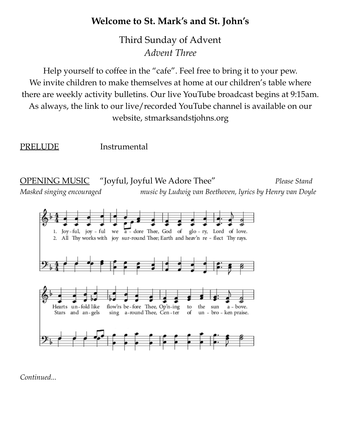# **Welcome to St. Mark's and St. John's**

Third Sunday of Advent *Advent Three*

Help yourself to coffee in the "cafe". Feel free to bring it to your pew. We invite children to make themselves at home at our children's table where there are weekly activity bulletins. Our live YouTube broadcast begins at 9:15am. As always, the link to our live/recorded YouTube channel is available on our website, stmarksandstjohns.org

PRELUDE Instrumental

OPENING MUSIC "Joyful, Joyful We Adore Thee" *Please Stand Masked singing encouraged music by Ludwig van Beethoven, lyrics by Henry van Doyle*



*Continued...*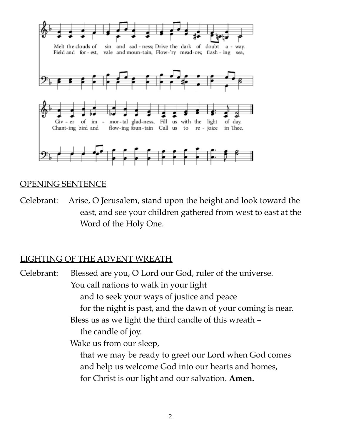

#### OPENING SENTENCE

Celebrant: Arise, O Jerusalem, stand upon the height and look toward the east, and see your children gathered from west to east at the Word of the Holy One.

#### LIGHTING OF THE ADVENT WREATH

Celebrant: Blessed are you, O Lord our God, ruler of the universe. You call nations to walk in your light and to seek your ways of justice and peace for the night is past, and the dawn of your coming is near. Bless us as we light the third candle of this wreath – the candle of joy. Wake us from our sleep, that we may be ready to greet our Lord when God comes and help us welcome God into our hearts and homes, for Christ is our light and our salvation. **Amen.**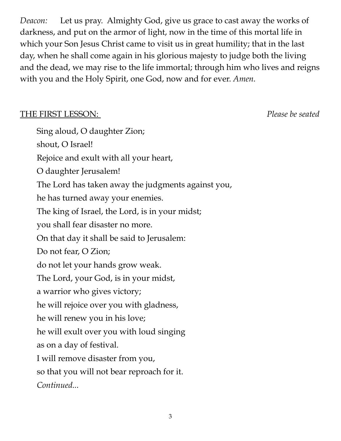*Deacon:* Let us pray. Almighty God, give us grace to cast away the works of darkness, and put on the armor of light, now in the time of this mortal life in which your Son Jesus Christ came to visit us in great humility; that in the last day, when he shall come again in his glorious majesty to judge both the living and the dead, we may rise to the life immortal; through him who lives and reigns with you and the Holy Spirit, one God, now and for ever. *Amen.*

#### THE FIRST LESSON: *Please be seated*

Sing aloud, O daughter Zion; shout, O Israel! Rejoice and exult with all your heart, O daughter Jerusalem! The Lord has taken away the judgments against you, he has turned away your enemies. The king of Israel, the Lord, is in your midst; you shall fear disaster no more. On that day it shall be said to Jerusalem: Do not fear, O Zion; do not let your hands grow weak. The Lord, your God, is in your midst, a warrior who gives victory; he will rejoice over you with gladness, he will renew you in his love; he will exult over you with loud singing as on a day of festival. I will remove disaster from you, so that you will not bear reproach for it. *Continued...*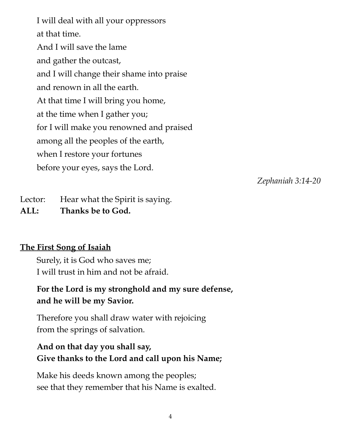I will deal with all your oppressors at that time. And I will save the lame and gather the outcast, and I will change their shame into praise and renown in all the earth. At that time I will bring you home, at the time when I gather you; for I will make you renowned and praised among all the peoples of the earth, when I restore your fortunes before your eyes, says the Lord.

*Zephaniah 3:14-20*

Lector: Hear what the Spirit is saying. **ALL: Thanks be to God.**

#### **The First Song of Isaiah**

Surely, it is God who saves me; I will trust in him and not be afraid.

## **For the Lord is my stronghold and my sure defense, and he will be my Savior.**

Therefore you shall draw water with rejoicing from the springs of salvation.

#### **And on that day you shall say, Give thanks to the Lord and call upon his Name;**

Make his deeds known among the peoples; see that they remember that his Name is exalted.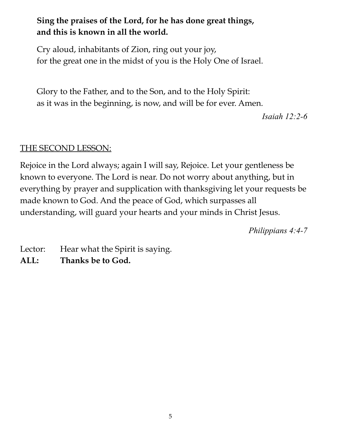# **Sing the praises of the Lord, for he has done great things, and this is known in all the world.**

Cry aloud, inhabitants of Zion, ring out your joy, for the great one in the midst of you is the Holy One of Israel.

Glory to the Father, and to the Son, and to the Holy Spirit: as it was in the beginning, is now, and will be for ever. Amen.

*Isaiah 12:2-6*

#### THE SECOND LESSON:

Rejoice in the Lord always; again I will say, Rejoice. Let your gentleness be known to everyone. The Lord is near. Do not worry about anything, but in everything by prayer and supplication with thanksgiving let your requests be made known to God. And the peace of God, which surpasses all understanding, will guard your hearts and your minds in Christ Jesus.

*Philippians 4:4-7*

Lector: Hear what the Spirit is saying.

**ALL: Thanks be to God.**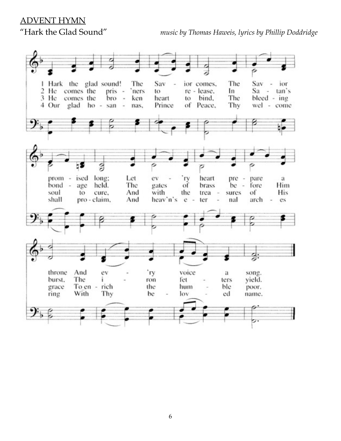ADVENT HYMN

"Hark the Glad Sound" *music by Thomas Haweis, lyrics by Phillip Doddridge*

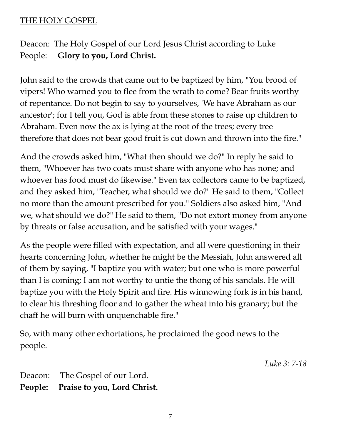#### THE HOLY GOSPEL

Deacon: The Holy Gospel of our Lord Jesus Christ according to Luke People: **Glory to you, Lord Christ.**

John said to the crowds that came out to be baptized by him, "You brood of vipers! Who warned you to flee from the wrath to come? Bear fruits worthy of repentance. Do not begin to say to yourselves, 'We have Abraham as our ancestor'; for I tell you, God is able from these stones to raise up children to Abraham. Even now the ax is lying at the root of the trees; every tree therefore that does not bear good fruit is cut down and thrown into the fire."

And the crowds asked him, "What then should we do?" In reply he said to them, "Whoever has two coats must share with anyone who has none; and whoever has food must do likewise." Even tax collectors came to be baptized, and they asked him, "Teacher, what should we do?" He said to them, "Collect no more than the amount prescribed for you." Soldiers also asked him, "And we, what should we do?" He said to them, "Do not extort money from anyone by threats or false accusation, and be satisfied with your wages."

As the people were filled with expectation, and all were questioning in their hearts concerning John, whether he might be the Messiah, John answered all of them by saying, "I baptize you with water; but one who is more powerful than I is coming; I am not worthy to untie the thong of his sandals. He will baptize you with the Holy Spirit and fire. His winnowing fork is in his hand, to clear his threshing floor and to gather the wheat into his granary; but the chaff he will burn with unquenchable fire."

So, with many other exhortations, he proclaimed the good news to the people.

*Luke 3: 7-18*

Deacon: The Gospel of our Lord. **People: Praise to you, Lord Christ.**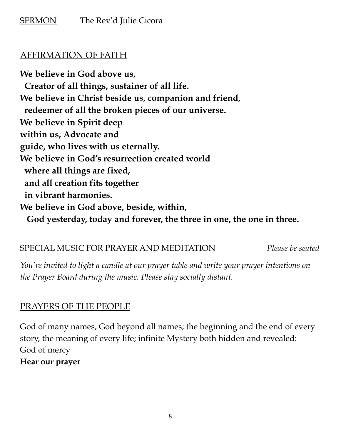## AFFIRMATION OF FAITH

**We believe in God above us, Creator of all things, sustainer of all life. We believe in Christ beside us, companion and friend, redeemer of all the broken pieces of our universe. We believe in Spirit deep within us, Advocate and guide, who lives with us eternally. We believe in God's resurrection created world where all things are fixed, and all creation fits together in vibrant harmonies. We believe in God above, beside, within, God yesterday, today and forever, the three in one, the one in three.**

#### SPECIAL MUSIC FOR PRAYER AND MEDITATION *Please be seated*

*You're invited to light a candle at our prayer table and write your prayer intentions on the Prayer Board during the music. Please stay socially distant.*

## PRAYERS OF THE PEOPLE

God of many names, God beyond all names; the beginning and the end of every story, the meaning of every life; infinite Mystery both hidden and revealed: God of mercy **Hear our prayer**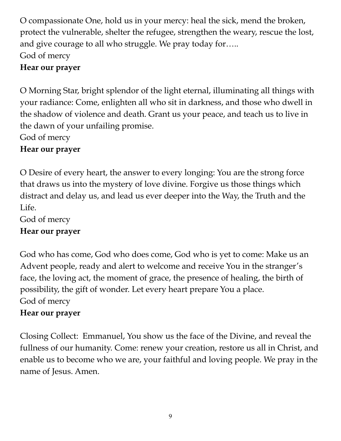O compassionate One, hold us in your mercy: heal the sick, mend the broken, protect the vulnerable, shelter the refugee, strengthen the weary, rescue the lost, and give courage to all who struggle. We pray today for….. God of mercy **Hear our prayer**

O Morning Star, bright splendor of the light eternal, illuminating all things with your radiance: Come, enlighten all who sit in darkness, and those who dwell in the shadow of violence and death. Grant us your peace, and teach us to live in the dawn of your unfailing promise.

God of mercy

# **Hear our prayer**

O Desire of every heart, the answer to every longing: You are the strong force that draws us into the mystery of love divine. Forgive us those things which distract and delay us, and lead us ever deeper into the Way, the Truth and the Life.

God of mercy

# **Hear our prayer**

God who has come, God who does come, God who is yet to come: Make us an Advent people, ready and alert to welcome and receive You in the stranger's face, the loving act, the moment of grace, the presence of healing, the birth of possibility, the gift of wonder. Let every heart prepare You a place. God of mercy

# **Hear our prayer**

Closing Collect: Emmanuel, You show us the face of the Divine, and reveal the fullness of our humanity. Come: renew your creation, restore us all in Christ, and enable us to become who we are, your faithful and loving people. We pray in the name of Jesus. Amen.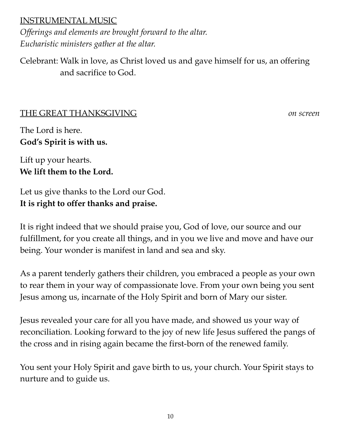#### INSTRUMENTAL MUSIC

*Offerings and elements are brought forward to the altar. Eucharistic ministers gather at the altar.*

Celebrant: Walk in love, as Christ loved us and gave himself for us, an offering and sacrifice to God.

#### THE GREAT THANKSGIVING *on screen*

The Lord is here. **God's Spirit is with us.**

Lift up your hearts. **We lift them to the Lord.**

Let us give thanks to the Lord our God. **It is right to offer thanks and praise.**

It is right indeed that we should praise you, God of love, our source and our fulfillment, for you create all things, and in you we live and move and have our being. Your wonder is manifest in land and sea and sky.

As a parent tenderly gathers their children, you embraced a people as your own to rear them in your way of compassionate love. From your own being you sent Jesus among us, incarnate of the Holy Spirit and born of Mary our sister.

Jesus revealed your care for all you have made, and showed us your way of reconciliation. Looking forward to the joy of new life Jesus suffered the pangs of the cross and in rising again became the first-born of the renewed family.

You sent your Holy Spirit and gave birth to us, your church. Your Spirit stays to nurture and to guide us.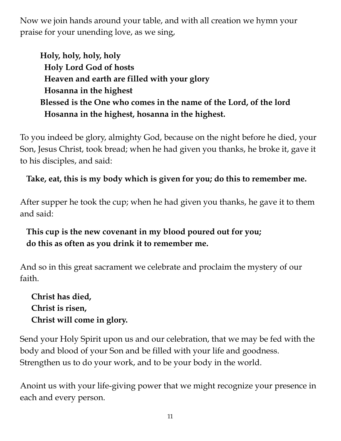Now we join hands around your table, and with all creation we hymn your praise for your unending love, as we sing,

**Holy, holy, holy, holy Holy Lord God of hosts Heaven and earth are filled with your glory Hosanna in the highest Blessed is the One who comes in the name of the Lord, of the lord Hosanna in the highest, hosanna in the highest.**

To you indeed be glory, almighty God, because on the night before he died, your Son, Jesus Christ, took bread; when he had given you thanks, he broke it, gave it to his disciples, and said:

# **Take, eat, this is my body which is given for you; do this to remember me.**

After supper he took the cup; when he had given you thanks, he gave it to them and said:

# **This cup is the new covenant in my blood poured out for you; do this as often as you drink it to remember me.**

And so in this great sacrament we celebrate and proclaim the mystery of our faith.

**Christ has died, Christ is risen, Christ will come in glory.**

Send your Holy Spirit upon us and our celebration, that we may be fed with the body and blood of your Son and be filled with your life and goodness. Strengthen us to do your work, and to be your body in the world.

Anoint us with your life-giving power that we might recognize your presence in each and every person.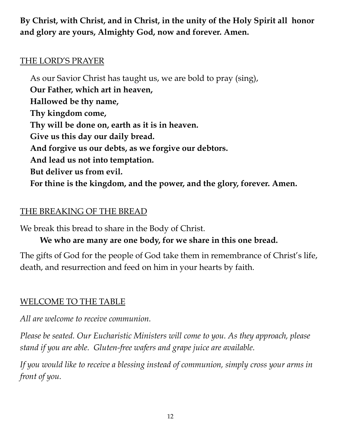**By Christ, with Christ, and in Christ, in the unity of the Holy Spirit all honor and glory are yours, Almighty God, now and forever. Amen.**

## THE LORD'S PRAYER

As our Savior Christ has taught us, we are bold to pray (sing), **Our Father, which art in heaven, Hallowed be thy name, Thy kingdom come, Thy will be done on, earth as it is in heaven. Give us this day our daily bread. And forgive us our debts, as we forgive our debtors. And lead us not into temptation. But deliver us from evil. For thine is the kingdom, and the power, and the glory, forever. Amen.**

#### THE BREAKING OF THE BREAD

We break this bread to share in the Body of Christ.

#### **We who are many are one body, for we share in this one bread.**

The gifts of God for the people of God take them in remembrance of Christ's life, death, and resurrection and feed on him in your hearts by faith.

## WELCOME TO THE TABLE

*All are welcome to receive communion.*

*Please be seated. Our Eucharistic Ministers will come to you. As they approach, please stand if you are able. Gluten-free wafers and grape juice are available.*

*If you would like to receive a blessing instead of communion, simply cross your arms in front of you.*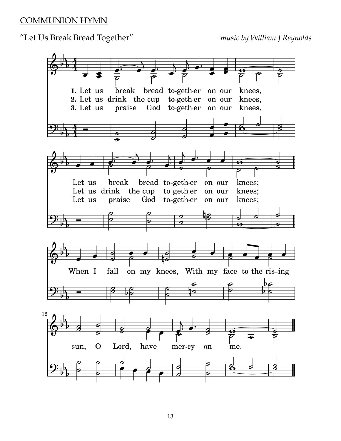#### COMMUNION HYMN

#### "Let Us Break Bread Together" *music by William J Reynolds*

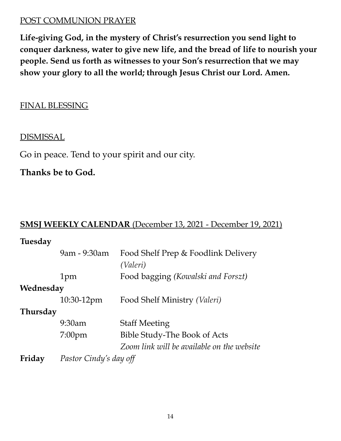## POST COMMUNION PRAYER

**Life-giving God, in the mystery of Christ's resurrection you send light to conquer darkness, water to give new life, and the bread of life to nourish your people. Send us forth as witnesses to your Son's resurrection that we may show your glory to all the world; through Jesus Christ our Lord. Amen.**

#### FINAL BLESSING

#### **DISMISSAL**

Go in peace. Tend to your spirit and our city.

**Thanks be to God.**

#### **SMSJ WEEKLY CALENDAR** (December 13, 2021 - December 19, 2021)

#### **Tuesday**

|           | 9am - 9:30am           | Food Shelf Prep & Foodlink Delivery        |  |  |  |  |
|-----------|------------------------|--------------------------------------------|--|--|--|--|
|           |                        | (Valeri)                                   |  |  |  |  |
|           | 1pm                    | Food bagging (Kowalski and Forszt)         |  |  |  |  |
| Wednesday |                        |                                            |  |  |  |  |
|           | 10:30-12pm             | Food Shelf Ministry (Valeri)               |  |  |  |  |
| Thursday  |                        |                                            |  |  |  |  |
|           | 9:30am                 | <b>Staff Meeting</b>                       |  |  |  |  |
|           | $7:00$ pm              | <b>Bible Study-The Book of Acts</b>        |  |  |  |  |
|           |                        | Zoom link will be available on the website |  |  |  |  |
| Friday    | Pastor Cindy's day off |                                            |  |  |  |  |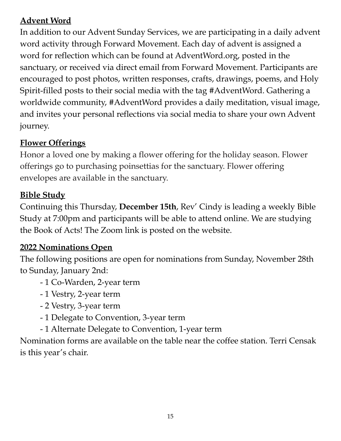# **Advent Word**

In addition to our Advent Sunday Services, we are participating in a daily advent word activity through Forward Movement. Each day of advent is assigned a word for reflection which can be found at AdventWord.org, posted in the sanctuary, or received via direct email from Forward Movement. Participants are encouraged to post photos, written responses, crafts, drawings, poems, and Holy Spirit-filled posts to their social media with the tag #AdventWord. Gathering a worldwide community, #AdventWord provides a daily meditation, visual image, and invites your personal reflections via social media to share your own Advent journey.

## **Flower Offerings**

Honor a loved one by making a flower offering for the holiday season. Flower offerings go to purchasing poinsettias for the sanctuary. Flower offering envelopes are available in the sanctuary.

## **Bible Study**

Continuing this Thursday, **December 15th**, Rev' Cindy is leading a weekly Bible Study at 7:00pm and participants will be able to attend online. We are studying the Book of Acts! The Zoom link is posted on the website.

## **2022 Nominations Open**

The following positions are open for nominations from Sunday, November 28th to Sunday, January 2nd:

- 1 Co-Warden, 2-year term
- 1 Vestry, 2-year term
- 2 Vestry, 3-year term
- 1 Delegate to Convention, 3-year term
- 1 Alternate Delegate to Convention, 1-year term

Nomination forms are available on the table near the coffee station. Terri Censak is this year's chair.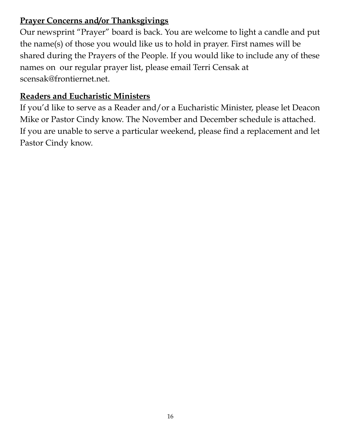## **Prayer Concerns and/or Thanksgivings**

Our newsprint "Prayer" board is back. You are welcome to light a candle and put the name(s) of those you would like us to hold in prayer. First names will be shared during the Prayers of the People. If you would like to include any of these names on our regular prayer list, please email Terri Censak at scensak@frontiernet.net.

## **Readers and Eucharistic Ministers**

If you'd like to serve as a Reader and/or a Eucharistic Minister, please let Deacon Mike or Pastor Cindy know. The November and December schedule is attached. If you are unable to serve a particular weekend, please find a replacement and let Pastor Cindy know.